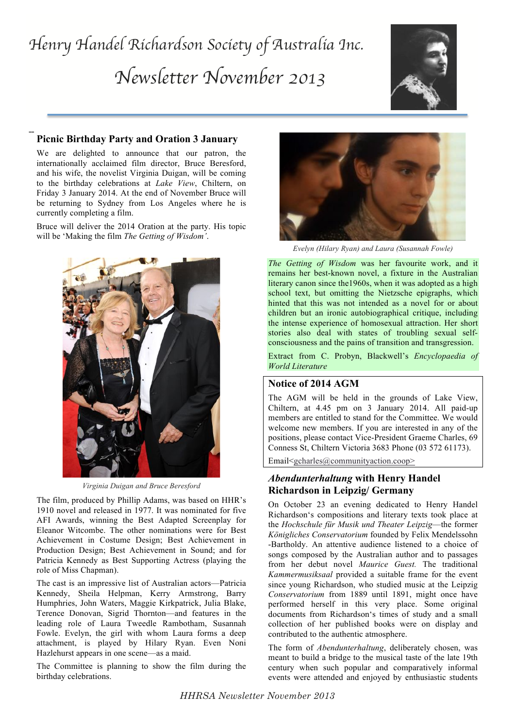# *Henry Handel Richardson Society of Australia Inc. Newsletter November 2013*



### **Picnic Birthday Party and Oration 3 January**

**--**

We are delighted to announce that our patron, the internationally acclaimed film director, Bruce Beresford, and his wife, the novelist Virginia Duigan, will be coming to the birthday celebrations at *Lake View*, Chiltern, on Friday 3 January 2014. At the end of November Bruce will be returning to Sydney from Los Angeles where he is currently completing a film.

Bruce will deliver the 2014 Oration at the party. His topic will be 'Making the film *The Getting of Wisdom'*.



*Virginia Duigan and Bruce Beresford*

The film, produced by Phillip Adams, was based on HHR's 1910 novel and released in 1977. It was nominated for five AFI Awards, winning the Best Adapted Screenplay for Eleanor Witcombe. The other nominations were for Best Achievement in Costume Design; Best Achievement in Production Design; Best Achievement in Sound; and for Patricia Kennedy as Best Supporting Actress (playing the role of Miss Chapman).

The cast is an impressive list of Australian actors—Patricia Kennedy, Sheila Helpman, Kerry Armstrong, Barry Humphries, John Waters, Maggie Kirkpatrick, Julia Blake, Terence Donovan, Sigrid Thornton—and features in the leading role of Laura Tweedle Rambotham, Susannah Fowle. Evelyn, the girl with whom Laura forms a deep attachment, is played by Hilary Ryan. Even Noni Hazlehurst appears in one scene—as a maid.

The Committee is planning to show the film during the birthday celebrations.



*Evelyn (Hilary Ryan) and Laura (Susannah Fowle)*

*The Getting of Wisdom* was her favourite work, and it remains her best-known novel, a fixture in the Australian literary canon since the1960s, when it was adopted as a high school text, but omitting the Nietzsche epigraphs, which hinted that this was not intended as a novel for or about children but an ironic autobiographical critique, including the intense experience of homosexual attraction. Her short stories also deal with states of troubling sexual selfconsciousness and the pains of transition and transgression.

Extract from C. Probyn, Blackwell's *Encyclopaedia of World Literature*

### **Notice of 2014 AGM**

The AGM will be held in the grounds of Lake View, Chiltern, at 4.45 pm on 3 January 2014. All paid-up members are entitled to stand for the Committee. We would welcome new members. If you are interested in any of the positions, please contact Vice-President Graeme Charles, 69 Conness St, Chiltern Victoria 3683 Phone (03 572 61173).

Email<gcharles@communityaction.coop>

## *Abendunterhaltung* **with Henry Handel Richardson in Leipzig/ Germany**

On October 23 an evening dedicated to Henry Handel Richardson's compositions and literary texts took place at the *Hochschule für Musik und Theater Leipzig*—the former *Königliches Conservatorium* founded by Felix Mendelssohn -Bartholdy. An attentive audience listened to a choice of songs composed by the Australian author and to passages from her debut novel *Maurice Guest.* The traditional *Kammermusiksaal* provided a suitable frame for the event since young Richardson, who studied music at the Leipzig *Conservatorium* from 1889 until 1891, might once have performed herself in this very place. Some original documents from Richardson's times of study and a small collection of her published books were on display and contributed to the authentic atmosphere.

The form of *Abendunterhaltung*, deliberately chosen, was meant to build a bridge to the musical taste of the late 19th century when such popular and comparatively informal events were attended and enjoyed by enthusiastic students